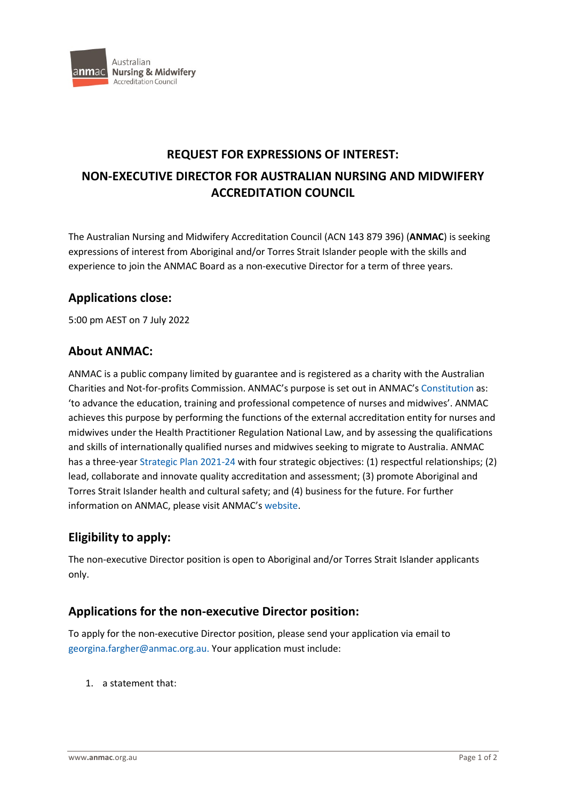

#### **REQUEST FOR EXPRESSIONS OF INTEREST:**

# **NON-EXECUTIVE DIRECTOR FOR AUSTRALIAN NURSING AND MIDWIFERY ACCREDITATION COUNCIL**

The Australian Nursing and Midwifery Accreditation Council (ACN 143 879 396) (**ANMAC**) is seeking expressions of interest from Aboriginal and/or Torres Strait Islander people with the skills and experience to join the ANMAC Board as a non-executive Director for a term of three years.

### **Applications close:**

5:00 pm AEST on 7 July 2022

### **About ANMAC:**

ANMAC is a public company limited by guarantee and is registered as a charity with the Australian Charities and Not-for-profits Commission. ANMAC's purpose is set out in ANMAC's [Constitution a](https://anmac.org.au/sites/default/files/documents/anmac_constitution_-_27_october_2020.pdf)s: 'to advance the education, training and professional competence of nurses and midwives'. ANMAC achieves this purpose by performing the functions of the external accreditation entity for nurses and midwives under the Health Practitioner Regulation National Law, and by assessing the qualifications and skills of internationally qualified nurses and midwives seeking to migrate to Australia. ANMAC has a three-year [Strategic Plan 2021-24](https://anmac.org.au/sites/default/files/anmac_board_anmacstrategicplan2021-24_v4_20210907_0.pdf) with four strategic objectives: (1) respectful relationships; (2) lead, collaborate and innovate quality accreditation and assessment; (3) promote Aboriginal and Torres Strait Islander health and cultural safety; and (4) business for the future. For further information on ANMAC, please visit ANMAC's [website.](https://anmac.org.au/)

# **Eligibility to apply:**

The non-executive Director position is open to Aboriginal and/or Torres Strait Islander applicants only.

### **Applications for the non-executive Director position:**

To apply for the non-executive Director position, please send your application via email to [georgina.fargher@anmac.org.au.](mailto:georgina.fargher@anmac.org.au) Your application must include:

1. a statement that: